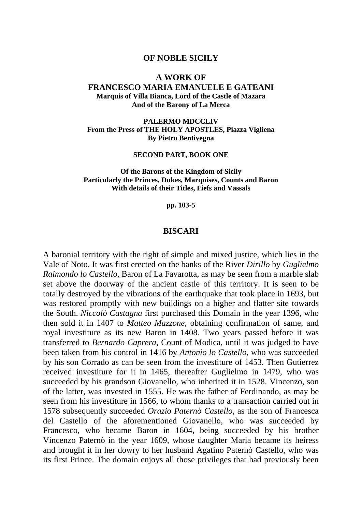#### **OF NOBLE SICILY**

#### **A WORK OF FRANCESCO MARIA EMANUELE E GATEANI Marquis of Villa Bianca, Lord of the Castle of Mazara And of the Barony of La Merca**

**PALERMO MDCCLIV From the Press of THE HOLY APOSTLES, Piazza Vigliena By Pietro Bentivegna** 

#### **SECOND PART, BOOK ONE**

**Of the Barons of the Kingdom of Sicily Particularly the Princes, Dukes, Marquises, Counts and Baron With details of their Titles, Fiefs and Vassals** 

**pp. 103-5** 

#### **BISCARI**

A baronial territory with the right of simple and mixed justice, which lies in the Vale of Noto. It was first erected on the banks of the River *Dirillo* by *Guglielmo Raimondo lo Castello*, Baron of La Favarotta, as may be seen from a marble slab set above the doorway of the ancient castle of this territory. It is seen to be totally destroyed by the vibrations of the earthquake that took place in 1693, but was restored promptly with new buildings on a higher and flatter site towards the South. *Niccolò Castagna* first purchased this Domain in the year 1396, who then sold it in 1407 to *Matteo Mazzone*, obtaining confirmation of same, and royal investiture as its new Baron in 1408. Two years passed before it was transferred to *Bernardo Caprera*, Count of Modica, until it was judged to have been taken from his control in 1416 by *Antonio lo Castello*, who was succeeded by his son Corrado as can be seen from the investiture of 1453. Then Gutierrez received investiture for it in 1465, thereafter Guglielmo in 1479, who was succeeded by his grandson Giovanello, who inherited it in 1528. Vincenzo, son of the latter, was invested in 1555. He was the father of Ferdinando, as may be seen from his investiture in 1566, to whom thanks to a transaction carried out in 1578 subsequently succeeded *Orazio Paternò Castello*, as the son of Francesca del Castello of the aforementioned Giovanello, who was succeeded by Francesco, who became Baron in 1604, being succeeded by his brother Vincenzo Paternò in the year 1609, whose daughter Maria became its heiress and brought it in her dowry to her husband Agatino Paternò Castello, who was its first Prince. The domain enjoys all those privileges that had previously been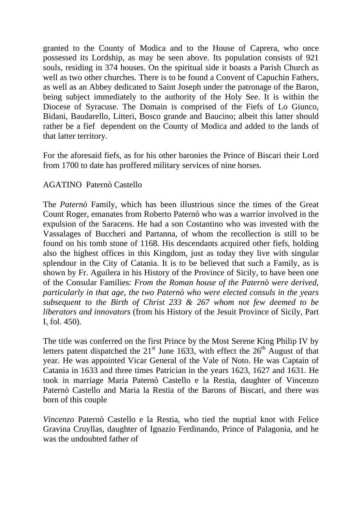granted to the County of Modica and to the House of Caprera, who once possessed its Lordship, as may be seen above. Its population consists of 921 souls, residing in 374 houses. On the spiritual side it boasts a Parish Church as well as two other churches. There is to be found a Convent of Capuchin Fathers, as well as an Abbey dedicated to Saint Joseph under the patronage of the Baron, being subject immediately to the authority of the Holy See. It is within the Diocese of Syracuse. The Domain is comprised of the Fiefs of Lo Giunco, Bidani, Baudarello, Litteri, Bosco grande and Baucino; albeit this latter should rather be a fief dependent on the County of Modica and added to the lands of that latter territory.

For the aforesaid fiefs, as for his other baronies the Prince of Biscari their Lord from 1700 to date has proffered military services of nine horses.

## AGATINO Paternò Castello

The *Paternò* Family, which has been illustrious since the times of the Great Count Roger, emanates from Roberto Paternò who was a warrior involved in the expulsion of the Saracens. He had a son Costantino who was invested with the Vassalages of Buccheri and Partanna, of whom the recollection is still to be found on his tomb stone of 1168. His descendants acquired other fiefs, holding also the highest offices in this Kingdom, just as today they live with singular splendour in the City of Catania. It is to be believed that such a Family, as is shown by Fr. Aguilera in his History of the Province of Sicily, to have been one of the Consular Families: *From the Roman house of the Paternò were derived, particularly in that age, the two Paternò who were elected consuls in the years subsequent to the Birth of Christ 233 & 267 whom not few deemed to be liberators and innovators* (from his History of the Jesuit Province of Sicily, Part I, fol. 450).

The title was conferred on the first Prince by the Most Serene King Philip IV by letters patent dispatched the  $21<sup>st</sup>$  June 1633, with effect the  $26<sup>th</sup>$  August of that year. He was appointed Vicar General of the Vale of Noto. He was Captain of Catania in 1633 and three times Patrician in the years 1623, 1627 and 1631. He took in marriage Maria Paternò Castello e la Restia, daughter of Vincenzo Paternò Castello and Maria la Restia of the Barons of Biscari, and there was born of this couple

*Vincenzo* Paternò Castello e la Restia, who tied the nuptial knot with Felice Gravina Cruyllas, daughter of Ignazio Ferdinando, Prince of Palagonia, and he was the undoubted father of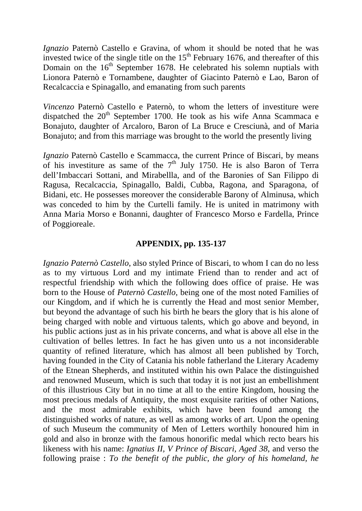*Ignazio* Paternò Castello e Gravina, of whom it should be noted that he was invested twice of the single title on the  $15<sup>th</sup>$  February 1676, and thereafter of this Domain on the  $16<sup>th</sup>$  September 1678. He celebrated his solemn nuptials with Lionora Paternò e Tornambene, daughter of Giacinto Paternò e Lao, Baron of Recalcaccia e Spinagallo, and emanating from such parents

*Vincenzo* Paternò Castello e Paternò, to whom the letters of investiture were dispatched the  $20<sup>th</sup>$  September 1700. He took as his wife Anna Scammaca e Bonajuto, daughter of Arcaloro, Baron of La Bruce e Cresciunà, and of Maria Bonajuto; and from this marriage was brought to the world the presently living

*Ignazio* Paternò Castello e Scammacca, the current Prince of Biscari, by means of his investiture as same of the  $7<sup>th</sup>$  July 1750. He is also Baron of Terra dell'Imbaccari Sottani, and Mirabellla, and of the Baronies of San Filippo di Ragusa, Recalcaccia, Spinagallo, Baldi, Cubba, Ragona, and Sparagona, of Bidani, etc. He possesses moreover the considerable Barony of Alminusa, which was conceded to him by the Curtelli family. He is united in matrimony with Anna Maria Morso e Bonanni, daughter of Francesco Morso e Fardella, Prince of Poggioreale.

#### **APPENDIX, pp. 135-137**

*Ignazio Paternò Castello*, also styled Prince of Biscari, to whom I can do no less as to my virtuous Lord and my intimate Friend than to render and act of respectful friendship with which the following does office of praise. He was born to the House of *Paternò Castello*, being one of the most noted Families of our Kingdom, and if which he is currently the Head and most senior Member, but beyond the advantage of such his birth he bears the glory that is his alone of being charged with noble and virtuous talents, which go above and beyond, in his public actions just as in his private concerns, and what is above all else in the cultivation of belles lettres. In fact he has given unto us a not inconsiderable quantity of refined literature, which has almost all been published by Torch, having founded in the City of Catania his noble fatherland the Literary Academy of the Etnean Shepherds, and instituted within his own Palace the distinguished and renowned Museum, which is such that today it is not just an embellishment of this illustrious City but in no time at all to the entire Kingdom, housing the most precious medals of Antiquity, the most exquisite rarities of other Nations, and the most admirable exhibits, which have been found among the distinguished works of nature, as well as among works of art. Upon the opening of such Museum the community of Men of Letters worthily honoured him in gold and also in bronze with the famous honorific medal which recto bears his likeness with his name: *Ignatius II, V Prince of Biscari, Aged 38*, and verso the following praise : *To the benefit of the public, the glory of his homeland, he*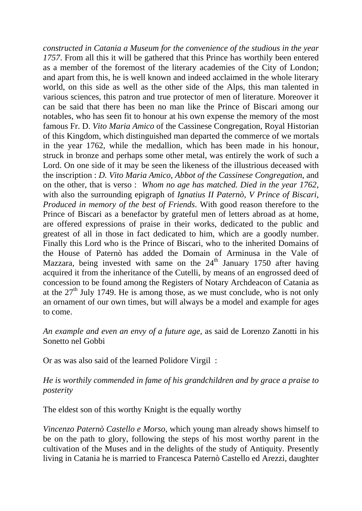*constructed in Catania a Museum for the convenience of the studious in the year 1757*. From all this it will be gathered that this Prince has worthily been entered as a member of the foremost of the literary academies of the City of London; and apart from this, he is well known and indeed acclaimed in the whole literary world, on this side as well as the other side of the Alps, this man talented in various sciences, this patron and true protector of men of literature. Moreover it can be said that there has been no man like the Prince of Biscari among our notables, who has seen fit to honour at his own expense the memory of the most famous Fr. D. *Vito Maria Amico* of the Cassinese Congregation, Royal Historian of this Kingdom, which distinguished man departed the commerce of we mortals in the year 1762, while the medallion, which has been made in his honour, struck in bronze and perhaps some other metal, was entirely the work of such a Lord. On one side of it may be seen the likeness of the illustrious deceased with the inscription : *D. Vito Maria Amico, Abbot of the Cassinese Congregation*, and on the other, that is verso : *Whom no age has matched. Died in the year 1762*, with also the surrounding epigraph of *Ignatius II Paternò, V Prince of Biscari, Produced in memory of the best of Friends*. With good reason therefore to the Prince of Biscari as a benefactor by grateful men of letters abroad as at home, are offered expressions of praise in their works, dedicated to the public and greatest of all in those in fact dedicated to him, which are a goodly number. Finally this Lord who is the Prince of Biscari, who to the inherited Domains of the House of Paternò has added the Domain of Arminusa in the Vale of Mazzara, being invested with same on the  $24<sup>th</sup>$  January 1750 after having acquired it from the inheritance of the Cutelli, by means of an engrossed deed of concession to be found among the Registers of Notary Archdeacon of Catania as at the  $27<sup>th</sup>$  July 1749. He is among those, as we must conclude, who is not only an ornament of our own times, but will always be a model and example for ages to come.

*An example and even an envy of a future age*, as said de Lorenzo Zanotti in his Sonetto nel Gobbi

Or as was also said of the learned Polidore Virgil :

## *He is worthily commended in fame of his grandchildren and by grace a praise to posterity*

The eldest son of this worthy Knight is the equally worthy

*Vincenzo Paternò Castello e Morso*, which young man already shows himself to be on the path to glory, following the steps of his most worthy parent in the cultivation of the Muses and in the delights of the study of Antiquity. Presently living in Catania he is married to Francesca Paternò Castello ed Arezzi, daughter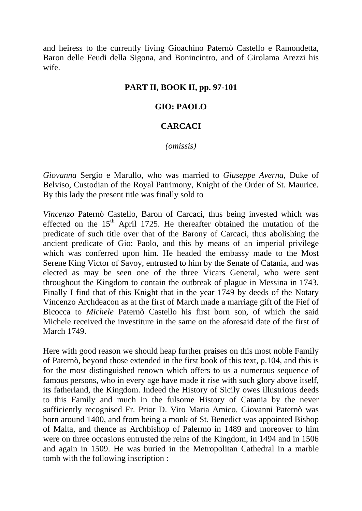and heiress to the currently living Gioachino Paternò Castello e Ramondetta, Baron delle Feudi della Sigona, and Bonincintro, and of Girolama Arezzi his wife.

## **PART II, BOOK II, pp. 97-101**

# **GIO: PAOLO**

#### **CARCACI**

*(omissis)* 

*Giovanna* Sergio e Marullo, who was married to *Giuseppe Averna*, Duke of Belviso, Custodian of the Royal Patrimony, Knight of the Order of St. Maurice. By this lady the present title was finally sold to

*Vincenzo* Paternò Castello, Baron of Carcaci, thus being invested which was effected on the  $15<sup>th</sup>$  April 1725. He thereafter obtained the mutation of the predicate of such title over that of the Barony of Carcaci, thus abolishing the ancient predicate of Gio: Paolo, and this by means of an imperial privilege which was conferred upon him. He headed the embassy made to the Most Serene King Victor of Savoy, entrusted to him by the Senate of Catania, and was elected as may be seen one of the three Vicars General, who were sent throughout the Kingdom to contain the outbreak of plague in Messina in 1743. Finally I find that of this Knight that in the year 1749 by deeds of the Notary Vincenzo Archdeacon as at the first of March made a marriage gift of the Fief of Bicocca to *Michele* Paternò Castello his first born son, of which the said Michele received the investiture in the same on the aforesaid date of the first of March 1749.

Here with good reason we should heap further praises on this most noble Family of Paternò, beyond those extended in the first book of this text, p.104, and this is for the most distinguished renown which offers to us a numerous sequence of famous persons, who in every age have made it rise with such glory above itself, its fatherland, the Kingdom. Indeed the History of Sicily owes illustrious deeds to this Family and much in the fulsome History of Catania by the never sufficiently recognised Fr. Prior D. Vito Maria Amico. Giovanni Paternò was born around 1400, and from being a monk of St. Benedict was appointed Bishop of Malta, and thence as Archbishop of Palermo in 1489 and moreover to him were on three occasions entrusted the reins of the Kingdom, in 1494 and in 1506 and again in 1509. He was buried in the Metropolitan Cathedral in a marble tomb with the following inscription :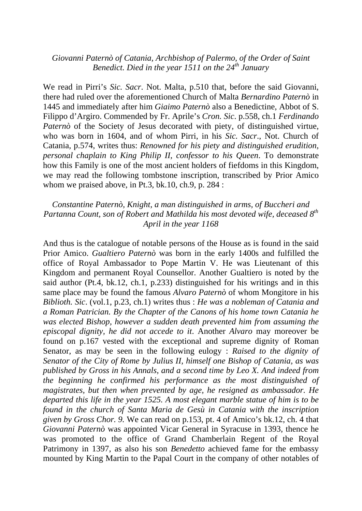# *Giovanni Paternò of Catania, Archbishop of Palermo, of the Order of Saint Benedict. Died in the year 1511 on the 24th January*

We read in Pirri's *Sic. Sacr*. Not. Malta, p.510 that, before the said Giovanni, there had ruled over the aforementioned Church of Malta *Bernardino Paternò* in 1445 and immediately after him *Giaimo Paternò* also a Benedictine, Abbot of S. Filippo d'Argiro. Commended by Fr. Aprile's *Cron. Sic*. p.558, ch.1 *Ferdinando Paternò* of the Society of Jesus decorated with piety, of distinguished virtue, who was born in 1604, and of whom Pirri, in his *Sic. Sacr*., Not. Church of Catania, p.574, writes thus: *Renowned for his piety and distinguished erudition, personal chaplain to King Philip II, confessor to his Queen*. To demonstrate how this Family is one of the most ancient holders of fiefdoms in this Kingdom, we may read the following tombstone inscription, transcribed by Prior Amico whom we praised above, in Pt.3, bk.10, ch.9, p. 284 :

#### *Constantine Paternò, Knight, a man distinguished in arms, of Buccheri and Partanna Count, son of Robert and Mathilda his most devoted wife, deceased 8th April in the year 1168*

And thus is the catalogue of notable persons of the House as is found in the said Prior Amico. *Gualtiero Paternò* was born in the early 1400s and fulfilled the office of Royal Ambassador to Pope Martin V. He was Lieutenant of this Kingdom and permanent Royal Counsellor. Another Gualtiero is noted by the said author (Pt.4, bk.12, ch.1, p.233) distinguished for his writings and in this same place may be found the famous *Alvaro Paternò* of whom Mongitore in his *Biblioth. Sic*. (vol.1, p.23, ch.1) writes thus : *He was a nobleman of Catania and a Roman Patrician. By the Chapter of the Canons of his home town Catania he was elected Bishop, however a sudden death prevented him from assuming the episcopal dignity, he did not accede to it*. Another *Alvaro* may moreover be found on p.167 vested with the exceptional and supreme dignity of Roman Senator, as may be seen in the following eulogy : *Raised to the dignity of Senator of the City of Rome by Julius II, himself one Bishop of Catania, as was published by Gross in his Annals, and a second time by Leo X. And indeed from the beginning he confirmed his performance as the most distinguished of magistrates, but then when prevented by age, he resigned as ambassador. He departed this life in the year 1525. A most elegant marble statue of him is to be found in the church of Santa Maria de Gesù in Catania with the inscription given by Gross Chor. 9.* We can read on p.153, pt. 4 of Amico's bk.12, ch. 4 that *Giovanni Paternò* was appointed Vicar General in Syracuse in 1393, thence he was promoted to the office of Grand Chamberlain Regent of the Royal Patrimony in 1397, as also his son *Benedetto* achieved fame for the embassy mounted by King Martin to the Papal Court in the company of other notables of